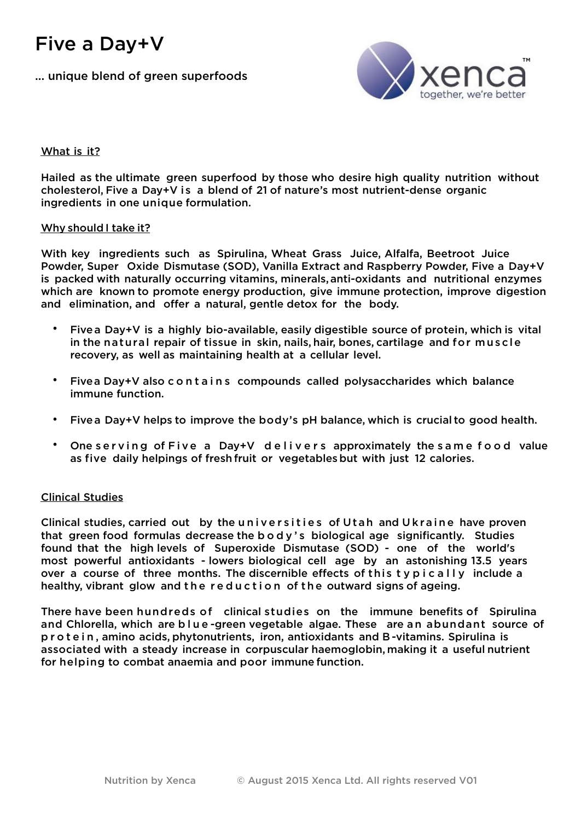# Five a Day+V

... unique blend of green superfoods



# What is it?

Hailed as the ultimate green superfood by those who desire high quality nutrition without cholesterol, Five a Day+V is a blend of 21 of nature's most nutrient-dense organic ingredients in one unique formulation.

## Why should I take it?

With key ingredients such as Spirulina, Wheat Grass Juice, Alfalfa, Beetroot Juice Powder, Super Oxide Dismutase (SOD), Vanilla Extract and Raspberry Powder, Five a Day+V is packed with naturally occurring vitamins, minerals,anti-oxidants and nutritional enzymes which are known to promote energy production, give immune protection, improve digestion and elimination, and offer a natural, gentle detox for the body.

- Fivea Day+V is a highly bio-available, easily digestible source of protein, which is vital in the natural repair of tissue in skin, nails, hair, bones, cartilage and for muscle recovery, as well as maintaining health at a cellular level.
- Fivea Day+V also contains compounds called polysaccharides which balance immune function.
- Fivea Day+V helps to improve the body's pH balance, which is crucial to good health.
- One serving of Five a Day+V delivers approximately the same food value as five daily helpings of fresh fruit or vegetablesbut with just 12 calories.

## Clinical Studies

Clinical studies, carried out by the universities of Utah and Ukraine have proven that green food formulas decrease the body's biological age significantly. Studies found that the high levels of Superoxide Dismutase (SOD) - one of the world's most powerful antioxidants - lowers biological cell age by an astonishing 13.5 years over a course of three months. The discernible effects of this typically include a healthy, vibrant glow and the reduction of the outward signs of ageing.

There have been hundreds of clinical studies on the immune benefits of Spirulina and Chlorella, which are blue-green vegetable algae. These are an abundant source of protein , amino acids, phytonutrients, iron, antioxidants and B -vitamins. Spirulina is associated with a steady increase in corpuscular haemoglobin, making it a useful nutrient for helping to combat anaemia and poor immune function.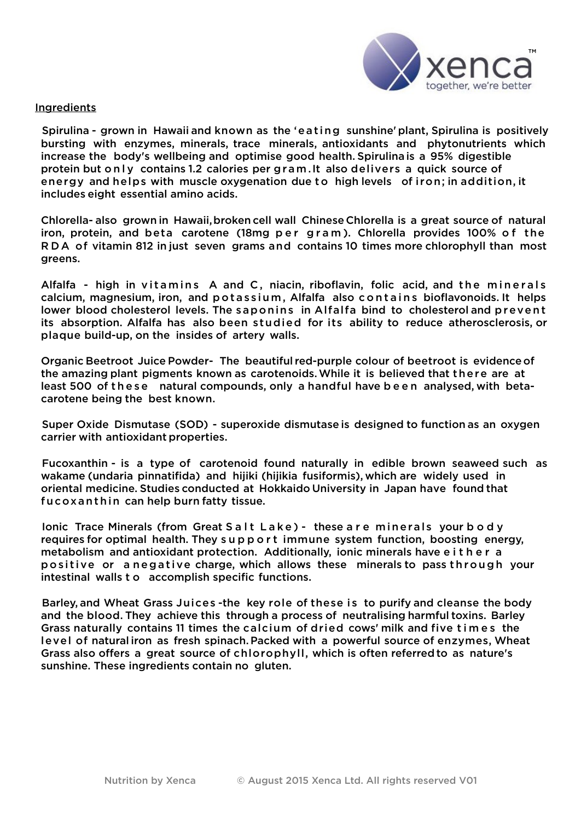

### Ingredients

Spirulina - grown in Hawaii and known as the 'eating sunshine'plant, Spirulina is positively bursting with enzymes, minerals, trace minerals, antioxidants and phytonutrients which increase the body's wellbeing and optimise good health. Spirulina is a 95% digestible protein but only contains 1.2 calories per gram.It also delivers a quick source of energy and helps with muscle oxygenation due to high levels of iron; in addition, it includes eight essential amino acids.

Chlorella- also grown in Hawaii,broken cell wall Chinese Chlorella is a great source of natural iron, protein, and beta carotene (18mg per gram). Chlorella provides 100% of the RDA of vitamin 812 in just seven grams and contains 10 times more chlorophyll than most greens.

Alfalfa - high in vitamins A and C, niacin, riboflavin, folic acid, and the minerals calcium, magnesium, iron, and potassium, Alfalfa also contains bioflavonoids. It helps lower blood cholesterol levels. The saponins in Alfalfa bind to cholesterol and prevent its absorption. Alfalfa has also been studied for its ability to reduce atherosclerosis, or plaque build-up, on the insides of artery walls.

Organic Beetroot Juice Powder- The beautiful red-purple colour of beetroot is evidenceof the amazing plant pigments known as carotenoids.While it is believed that there are at least 500 of these natural compounds, only a handful have been analysed, with betacarotene being the best known.

Super Oxide Dismutase (SOD) - superoxide dismutase is designed to function as an oxygen carrier with antioxidant properties.

Fucoxanthin - is a type of carotenoid found naturally in edible brown seaweed such as wakame (undaria pinnatifida) and hijiki (hijikia fusiformis), which are widely used in oriental medicine. Studies conducted at Hokkaido University in Japan have found that fucoxanthin can help burn fatty tissue.

Ionic Trace Minerals (from Great Salt Lake) - these are minerals your body requires for optimal health. They support immune system function, boosting energy, metabolism and antioxidant protection. Additionally, ionic minerals have either a positive or a negative charge, which allows these minerals to pass through your intestinal walls t o accomplish specific functions.

Barley, and Wheat Grass Juices -the key role of these is to purify and cleanse the body and the blood. They achieve this through a process of neutralising harmful toxins. Barley Grass naturally contains 11 times the calcium of dried cows' milk and five times the level of natural iron as fresh spinach.Packed with a powerful source of enzymes, Wheat Grass also offers a great source of chlorophyll, which is often referredto as nature's sunshine. These ingredients contain no gluten.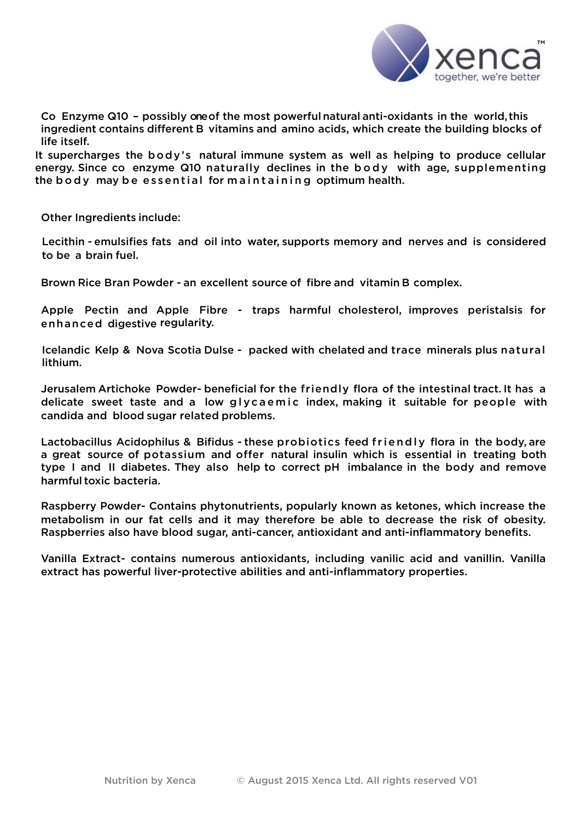

Co Enzyme Q10 – possibly one of the most powerful natural anti-oxidants in the world, this ingredient contains different B vitamins and amino acids, which create the building blocks of life itself.

It supercharges the body's natural immune system as well as helping to produce cellular energy. Since co enzyme Q10 naturally declines in the body with age, supplementing the body may be essential for maintaining optimum health.

Other Ingredients include:

Lecithin - emulsifies fats and oil into water, supports memory and nerves and is considered to be a brain fuel.

Brown Rice Bran Powder - an excellent source of fibre and vitamin B complex.

Apple Pectin and Apple Fibre - traps harmful cholesterol, improves peristalsis for enhanced digestive regularity.

Icelandic Kelp & Nova Scotia Dulse - packed with chelated and trace minerals plus natural lithium.

Jerusalem Artichoke Powder- beneficial for the friendly flora of the intestinal tract. It has a delicate sweet taste and a low glycaemic index, making it suitable for people with candida and blood sugar related problems.

Lactobacillus Acidophilus & Bifidus - these probiotics feed friendly flora in the body, are a great source of potassium and offer natural insulin which is essential in treating both type I and II diabetes. They also help to correct pH imbalance in the body and remove harmful toxic bacteria.

Raspberry Powder- Contains phytonutrients, popularly known as ketones, which increase the metabolism in our fat cells and it may therefore be able to decrease the risk of obesity. Raspberries also have blood sugar, anti-cancer, antioxidant and anti-inflammatory benefits.

Vanilla Extract- contains numerous antioxidants, including vanilic acid and vanillin. Vanilla extract has powerful liver-protective abilities and anti-inflammatory properties.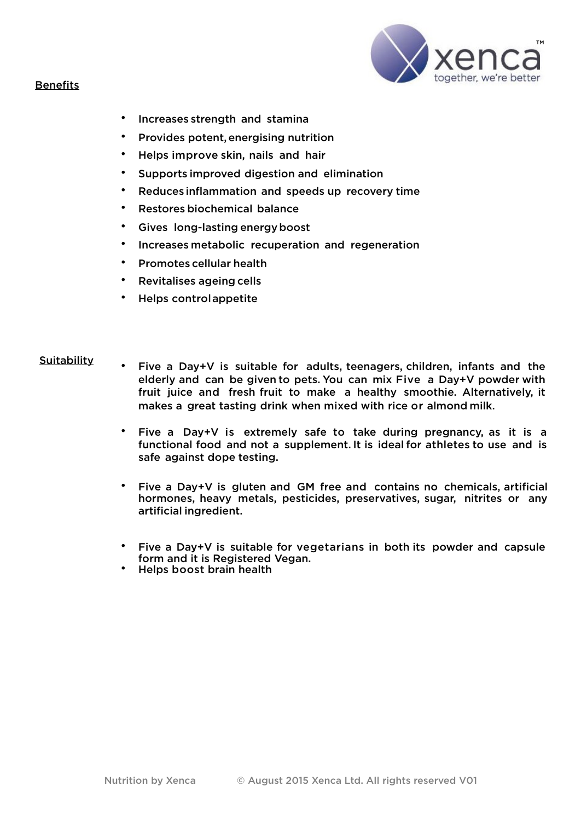



- Increases strength and stamina
- Provides potent,energising nutrition
- Helps improve skin, nails and hair
- Supports improved digestion and elimination
- Reduces inflammation and speeds up recovery time
- Restores biochemical balance
- Gives long-lasting energyboost
- Increases metabolic recuperation and regeneration
- Promotes cellular health
- Revitalises ageing cells
- Helps controlappetite

#### Suitability

- Five a Day+V is suitable for adults, teenagers, children, infants and the elderly and can be given to pets. You can mix Five a Day+V powder with fruit juice and fresh fruit to make a healthy smoothie. Alternatively, it makes a great tasting drink when mixed with rice or almond milk.
	- Five a Day+V is extremely safe to take during pregnancy, as it is a functional food and not a supplement. It is ideal for athletes to use and is safe against dope testing.
	- Five a Day+V is gluten and GM free and contains no chemicals, artificial hormones, heavy metals, pesticides, preservatives, sugar, nitrites or any artificial ingredient.
	- Five a Day+V is suitable for vegetarians in both its powder and capsule form and it is Registered Vegan.
	- Helps boost brain health